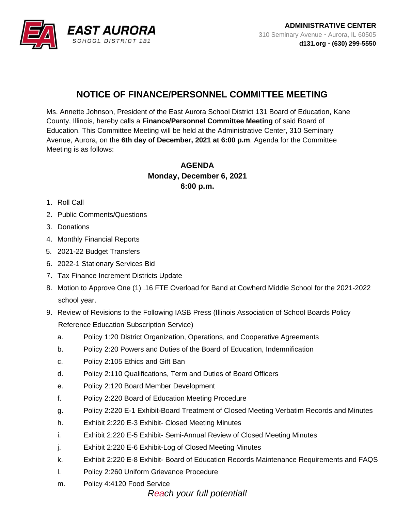

## **NOTICE OF FINANCE/PERSONNEL COMMITTEE MEETING**

Ms. Annette Johnson, President of the East Aurora School District 131 Board of Education, Kane County, Illinois, hereby calls a **Finance/Personnel Committee Meeting** of said Board of Education. This Committee Meeting will be held at the Administrative Center, 310 Seminary Avenue, Aurora, on the **6th day of December, 2021 at 6:00 p.m**. Agenda for the Committee Meeting is as follows:

## **AGENDA Monday, December 6, 2021 6:00 p.m.**

- 1. Roll Call
- 2. Public Comments/Questions
- 3. Donations
- 4. Monthly Financial Reports
- 5. 2021-22 Budget Transfers
- 6. 2022-1 Stationary Services Bid
- 7. Tax Finance Increment Districts Update
- 8. Motion to Approve One (1) .16 FTE Overload for Band at Cowherd Middle School for the 2021-2022 school year.
- 9. Review of Revisions to the Following IASB Press (Illinois Association of School Boards Policy Reference Education Subscription Service)
	- a. Policy 1:20 District Organization, Operations, and Cooperative Agreements
	- b. Policy 2:20 Powers and Duties of the Board of Education, Indemnification
	- c. Policy 2:105 Ethics and Gift Ban
	- d. Policy 2:110 Qualifications, Term and Duties of Board Officers
	- e. Policy 2:120 Board Member Development
	- f. Policy 2:220 Board of Education Meeting Procedure
	- g. Policy 2:220 E-1 Exhibit-Board Treatment of Closed Meeting Verbatim Records and Minutes
	- h. Exhibit 2:220 E-3 Exhibit- Closed Meeting Minutes
	- i. Exhibit 2:220 E-5 Exhibit- Semi-Annual Review of Closed Meeting Minutes
	- j. Exhibit 2:220 E-6 Exhibit-Log of Closed Meeting Minutes
	- k. Exhibit 2:220 E-8 Exhibit- Board of Education Records Maintenance Requirements and FAQS
	- l. Policy 2:260 Uniform Grievance Procedure
	- m. Policy 4:4120 Food Service